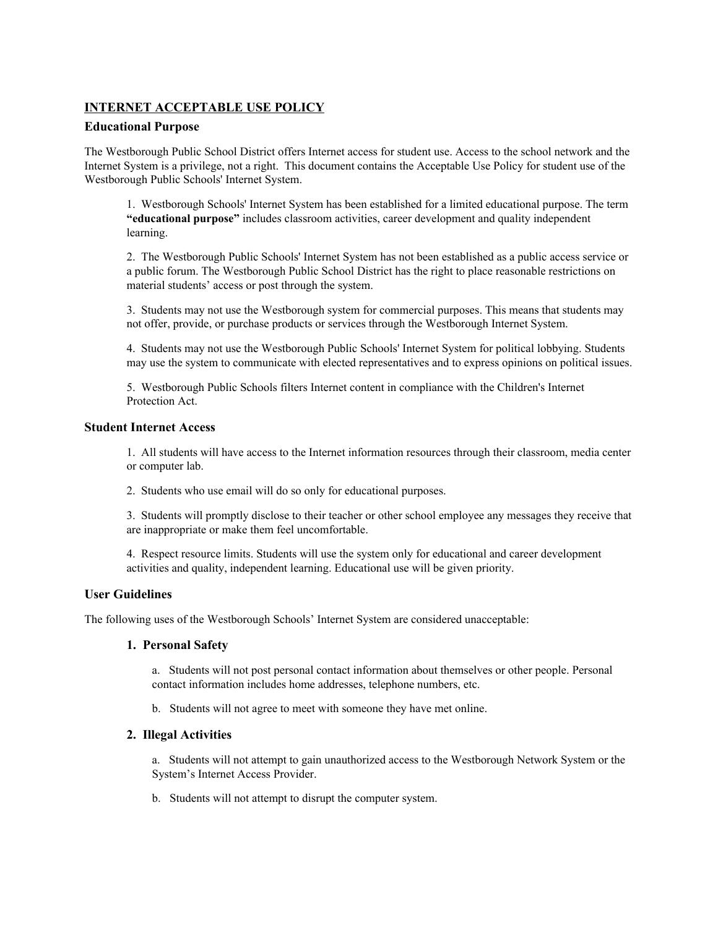## **INTERNET ACCEPTABLE USE POLICY**

## **Educational Purpose**

The Westborough Public School District offers Internet access for student use. Access to the school network and the Internet System is a privilege, not a right. This document contains the Acceptable Use Policy for student use of the Westborough Public Schools' Internet System.

1. Westborough Schools' Internet System has been established for a limited educational purpose. The term **"educational purpose"**includes classroom activities, career development and quality independent learning.

2. The Westborough Public Schools' Internet System has not been established as a public access service or a public forum. The Westborough Public School District has the right to place reasonable restrictions on material students' access or post through the system.

3. Students may not use the Westborough system for commercial purposes. This means that students may not offer, provide, or purchase products or services through the Westborough Internet System.

4. Students may not use the Westborough Public Schools' Internet System for political lobbying. Students may use the system to communicate with elected representatives and to express opinions on political issues.

5. Westborough Public Schools filters Internet content in compliance with the Children's Internet Protection Act.

#### **Student Internet Access**

1. All students will have access to the Internet information resources through their classroom, media center or computer lab.

2. Students who use email will do so only for educational purposes.

3. Students will promptly disclose to their teacher or other school employee any messages they receive that are inappropriate or make them feel uncomfortable.

4. Respect resource limits. Students will use the system only for educational and career development activities and quality, independent learning. Educational use will be given priority.

## **User Guidelines**

The following uses of the Westborough Schools' Internet System are considered unacceptable:

## **1. Personal Safety**

a. Students will not post personal contact information about themselves or other people. Personal contact information includes home addresses, telephone numbers, etc.

b. Students will not agree to meet with someone they have met online.

## **2. Illegal Activities**

a. Students will not attempt to gain unauthorized access to the Westborough Network System or the System's Internet Access Provider.

b. Students will not attempt to disrupt the computer system.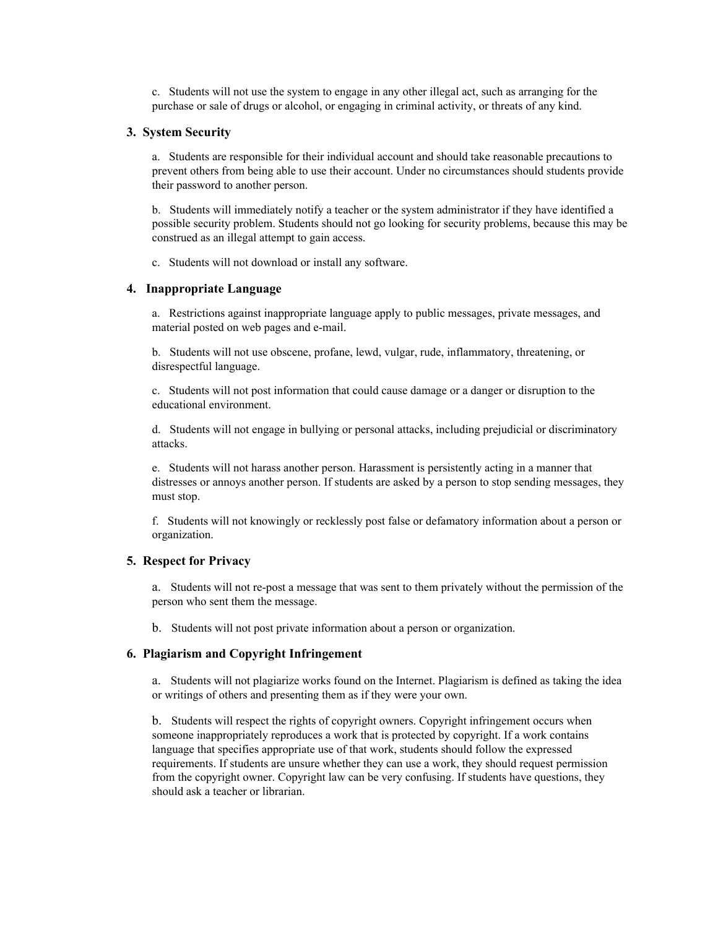c. Students will not use the system to engage in any other illegal act, such as arranging for the purchase or sale of drugs or alcohol, or engaging in criminal activity, or threats of any kind.

### **3. System Security**

a. Students are responsible for their individual account and should take reasonable precautions to prevent others from being able to use their account. Under no circumstances should students provide their password to another person.

b. Students will immediately notify a teacher or the system administrator if they have identified a possible security problem. Students should not go looking for security problems, because this may be construed as an illegal attempt to gain access.

c. Students will not download or install any software.

### **4. Inappropriate Language**

a. Restrictions against inappropriate language apply to public messages, private messages, and material posted on web pages and e-mail.

b. Students will not use obscene, profane, lewd, vulgar, rude, inflammatory, threatening, or disrespectful language.

c. Students will not post information that could cause damage or a danger or disruption to the educational environment.

d. Students will not engage in bullying or personal attacks, including prejudicial or discriminatory attacks.

e. Students will not harass another person. Harassment is persistently acting in a manner that distresses or annoys another person. If students are asked by a person to stop sending messages, they must stop.

f. Students will not knowingly or recklessly post false or defamatory information about a person or organization.

## **5. Respect for Privacy**

a. Students will not re-post a message that was sent to them privately without the permission of the person who sent them the message.

b. Students will not post private information about a person or organization.

### **6. Plagiarism and Copyright Infringement**

a. Students will not plagiarize works found on the Internet. Plagiarism is defined as taking the idea or writings of others and presenting them as if they were your own.

b. Students will respect the rights of copyright owners. Copyright infringement occurs when someone inappropriately reproduces a work that is protected by copyright. If a work contains language that specifies appropriate use of that work, students should follow the expressed requirements. If students are unsure whether they can use a work, they should request permission from the copyright owner. Copyright law can be very confusing. If students have questions, they should ask a teacher or librarian.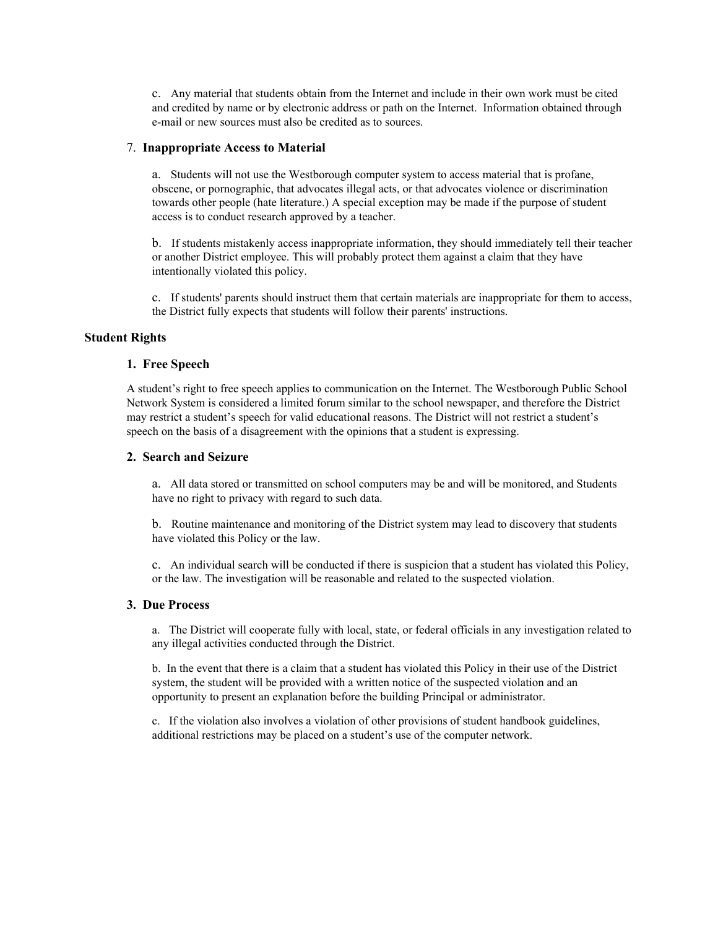c. Any material that students obtain from the Internet and include in their own work must be cited and credited by name or by electronic address or path on the Internet. Information obtained through e-mail or new sources must also be credited as to sources.

#### 7. **Inappropriate Accessto Material**

a. Students will not use the Westborough computer system to access material that is profane, obscene, or pornographic, that advocates illegal acts, or that advocates violence or discrimination towards other people (hate literature.) A special exception may be made if the purpose of student access is to conduct research approved by a teacher.

b. If students mistakenly access inappropriate information, they should immediately tell their teacher or another District employee. This will probably protect them against a claim that they have intentionally violated this policy.

c. If students' parents should instruct them that certain materials are inappropriate for them to access, the District fully expects that students will follow their parents' instructions.

## **Student Rights**

### **1. Free Speech**

A student's right to free speech applies to communication on the Internet. The Westborough Public School Network System is considered a limited forum similar to the school newspaper, and therefore the District may restrict a student's speech for valid educational reasons. The District will not restrict a student's speech on the basis of a disagreement with the opinions that a student is expressing.

### **2. Search and Seizure**

a. All data stored or transmitted on school computers may be and will be monitored, and Students have no right to privacy with regard to such data.

b. Routine maintenance and monitoring of the District system may lead to discovery that students have violated this Policy or the law.

c. An individual search will be conducted if there is suspicion that a student has violated this Policy, or the law. The investigation will be reasonable and related to the suspected violation.

#### **3. Due Process**

a. The District will cooperate fully with local, state, or federal officials in any investigation related to any illegal activities conducted through the District.

b. In the event that there is a claim that a student has violated this Policy in their use of the District system, the student will be provided with a written notice of the suspected violation and an opportunity to present an explanation before the building Principal or administrator.

c. If the violation also involves a violation of other provisions of student handbook guidelines, additional restrictions may be placed on a student's use of the computer network.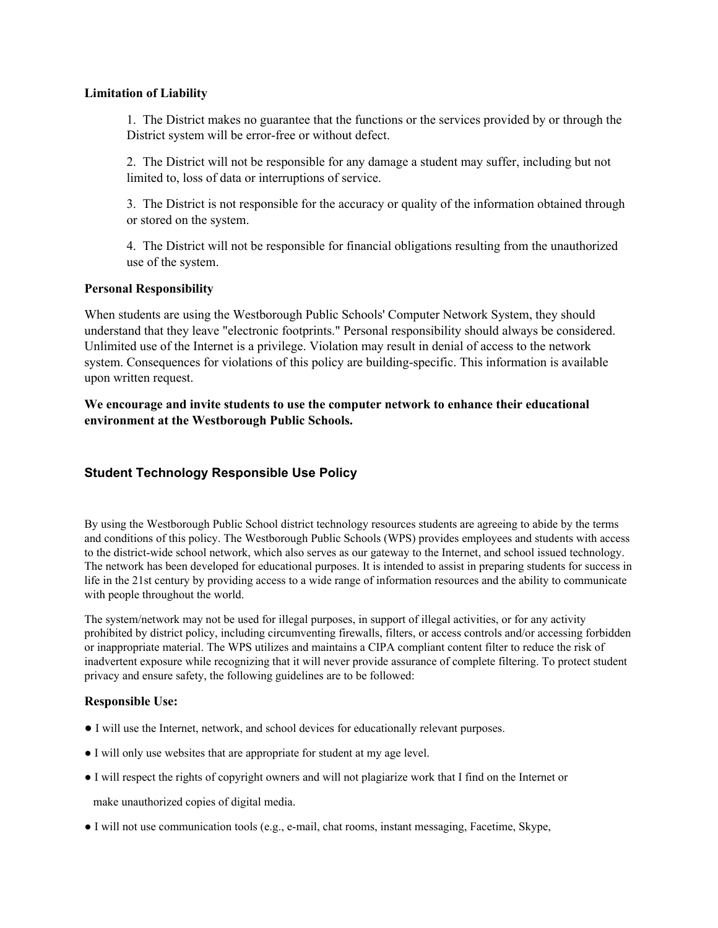## **Limitation of Liability**

1. The District makes no guarantee that the functions or the services provided by or through the District system will be error-free or without defect.

2. The District will not be responsible for any damage a student may suffer, including but not limited to, loss of data or interruptions of service.

3. The District is not responsible for the accuracy or quality of the information obtained through or stored on the system.

4. The District will not be responsible for financial obligations resulting from the unauthorized use of the system.

## **Personal Responsibility**

When students are using the Westborough Public Schools' Computer Network System, they should understand that they leave "electronic footprints." Personal responsibility should always be considered. Unlimited use of the Internet is a privilege. Violation may result in denial of access to the network system. Consequences for violations of this policy are building-specific. This information is available upon written request.

**We encourage and invite students to use the computer network to enhance their educational environment at the Westborough Public Schools.**

# **Student Technology Responsible Use Policy**

By using the Westborough Public School district technology resources students are agreeing to abide by the terms and conditions of this policy. The Westborough Public Schools (WPS) provides employees and students with access to the districtwide school network, which also serves as our gateway to the Internet, and school issued technology. The network has been developed for educational purposes. It is intended to assist in preparing students for success in life in the 21st century by providing access to a wide range of information resources and the ability to communicate with people throughout the world.

The system/network may not be used for illegal purposes, in support of illegal activities, or for any activity prohibited by district policy, including circumventing firewalls, filters, or access controls and/or accessing forbidden or inappropriate material. The WPS utilizes and maintains a CIPA compliant content filter to reduce the risk of inadvertent exposure while recognizing that it will never provide assurance of complete filtering. To protect student privacy and ensure safety, the following guidelines are to be followed:

## **Responsible Use:**

- I will use the Internet, network, and school devices for educationally relevant purposes.
- I will only use websites that are appropriate for student at my age level.
- I will respect the rights of copyright owners and will not plagiarize work that I find on the Internet or

make unauthorized copies of digital media.

● I will not use communication tools (e.g., email, chat rooms, instant messaging, Facetime, Skype,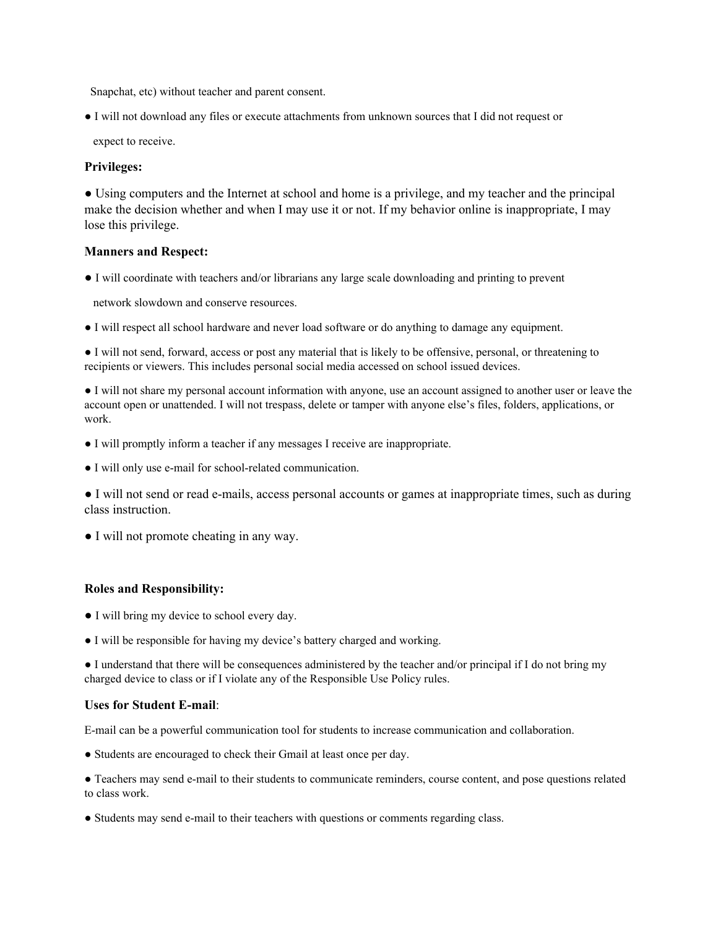Snapchat, etc) without teacher and parent consent.

● I will not download any files or execute attachments from unknown sources that I did not request or

expect to receive.

## **Privileges:**

● Using computers and the Internet at school and home is a privilege, and my teacher and the principal make the decision whether and when I may use it or not. If my behavior online is inappropriate, I may lose this privilege.

## **Manners and Respect:**

● I will coordinate with teachers and/or librarians any large scale downloading and printing to prevent

network slowdown and conserve resources.

● I will respect all school hardware and never load software or do anything to damage any equipment.

● I will not send, forward, access or post any material that is likely to be offensive, personal, or threatening to recipients or viewers. This includes personal social media accessed on school issued devices.

● I will not share my personal account information with anyone, use an account assigned to another user or leave the account open or unattended. I will not trespass, delete or tamper with anyone else's files, folders, applications, or work.

- I will promptly inform a teacher if any messages I receive are inappropriate.
- I will only use e-mail for school-related communication.

● I will not send or read emails, access personal accounts or games at inappropriate times, such as during class instruction.

● I will not promote cheating in any way.

## **Roles and Responsibility:**

- I will bring my device to school every day.
- I will be responsible for having my device's battery charged and working.

● I understand that there will be consequences administered by the teacher and/or principal if I do not bring my charged device to class or if I violate any of the Responsible Use Policy rules.

## **Uses for Student E-mail:**

E-mail can be a powerful communication tool for students to increase communication and collaboration.

● Students are encouraged to check their Gmail at least once per day.

• Teachers may send e-mail to their students to communicate reminders, course content, and pose questions related to class work.

• Students may send e-mail to their teachers with questions or comments regarding class.